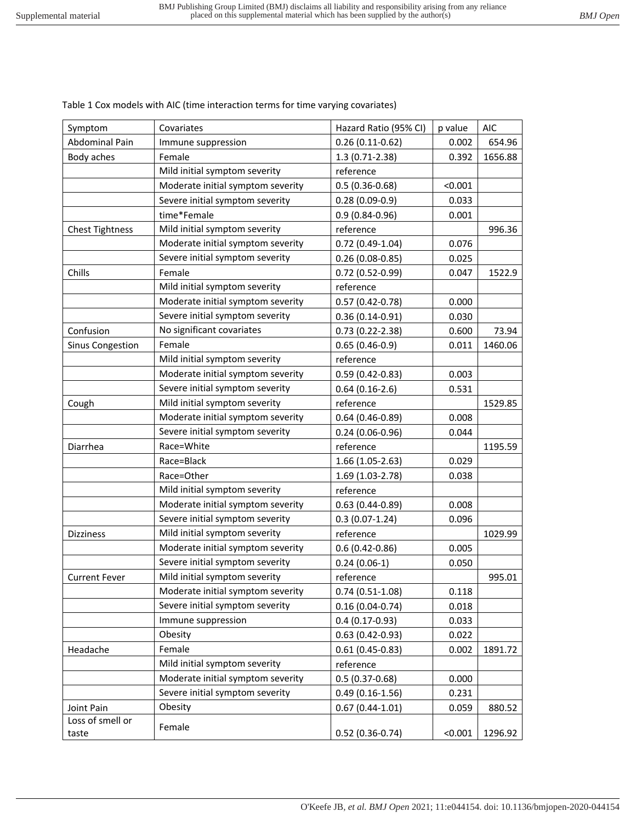| Symptom                   | Covariates                        | Hazard Ratio (95% CI) | p value | <b>AIC</b> |
|---------------------------|-----------------------------------|-----------------------|---------|------------|
| Abdominal Pain            | Immune suppression                | $0.26(0.11-0.62)$     | 0.002   | 654.96     |
| Body aches                | Female                            | 1.3 (0.71-2.38)       | 0.392   | 1656.88    |
|                           | Mild initial symptom severity     | reference             |         |            |
|                           | Moderate initial symptom severity | $0.5(0.36 - 0.68)$    | < 0.001 |            |
|                           | Severe initial symptom severity   | $0.28(0.09-0.9)$      | 0.033   |            |
|                           | time*Female                       | $0.9(0.84 - 0.96)$    | 0.001   |            |
| <b>Chest Tightness</b>    | Mild initial symptom severity     | reference             |         | 996.36     |
|                           | Moderate initial symptom severity | 0.72 (0.49-1.04)      | 0.076   |            |
|                           | Severe initial symptom severity   | $0.26(0.08-0.85)$     | 0.025   |            |
| Chills                    | Female                            | 0.72 (0.52-0.99)      | 0.047   | 1522.9     |
|                           | Mild initial symptom severity     | reference             |         |            |
|                           | Moderate initial symptom severity | $0.57(0.42 - 0.78)$   | 0.000   |            |
|                           | Severe initial symptom severity   | $0.36(0.14-0.91)$     | 0.030   |            |
| Confusion                 | No significant covariates         | $0.73(0.22 - 2.38)$   | 0.600   | 73.94      |
| <b>Sinus Congestion</b>   | Female                            | $0.65(0.46-0.9)$      | 0.011   | 1460.06    |
|                           | Mild initial symptom severity     | reference             |         |            |
|                           | Moderate initial symptom severity | $0.59(0.42 - 0.83)$   | 0.003   |            |
|                           | Severe initial symptom severity   | $0.64(0.16-2.6)$      | 0.531   |            |
| Cough                     | Mild initial symptom severity     | reference             |         | 1529.85    |
|                           | Moderate initial symptom severity | $0.64(0.46-0.89)$     | 0.008   |            |
|                           | Severe initial symptom severity   | $0.24(0.06-0.96)$     | 0.044   |            |
| Diarrhea                  | Race=White                        | reference             |         | 1195.59    |
|                           | Race=Black                        | 1.66 (1.05-2.63)      | 0.029   |            |
|                           | Race=Other                        | 1.69 (1.03-2.78)      | 0.038   |            |
|                           | Mild initial symptom severity     | reference             |         |            |
|                           | Moderate initial symptom severity | $0.63(0.44 - 0.89)$   | 0.008   |            |
|                           | Severe initial symptom severity   | $0.3(0.07-1.24)$      | 0.096   |            |
| <b>Dizziness</b>          | Mild initial symptom severity     | reference             |         | 1029.99    |
|                           | Moderate initial symptom severity | $0.6(0.42 - 0.86)$    | 0.005   |            |
|                           | Severe initial symptom severity   | $0.24(0.06-1)$        | 0.050   |            |
| <b>Current Fever</b>      | Mild initial symptom severity     | reference             |         | 995.01     |
|                           | Moderate initial symptom severity | $0.74(0.51-1.08)$     | 0.118   |            |
|                           | Severe initial symptom severity   | $0.16(0.04 - 0.74)$   | 0.018   |            |
|                           | Immune suppression                | $0.4(0.17-0.93)$      | 0.033   |            |
|                           | Obesity                           | $0.63(0.42 - 0.93)$   | 0.022   |            |
| Headache                  | Female                            | $0.61(0.45-0.83)$     | 0.002   | 1891.72    |
|                           | Mild initial symptom severity     | reference             |         |            |
|                           | Moderate initial symptom severity | $0.5(0.37 - 0.68)$    | 0.000   |            |
|                           | Severe initial symptom severity   | $0.49(0.16-1.56)$     | 0.231   |            |
| Joint Pain                | Obesity                           | $0.67(0.44-1.01)$     | 0.059   | 880.52     |
| Loss of smell or<br>taste | Female                            | $0.52(0.36-0.74)$     | < 0.001 | 1296.92    |

Table 1 Cox models with AIC (time interaction terms for time varying covariates)